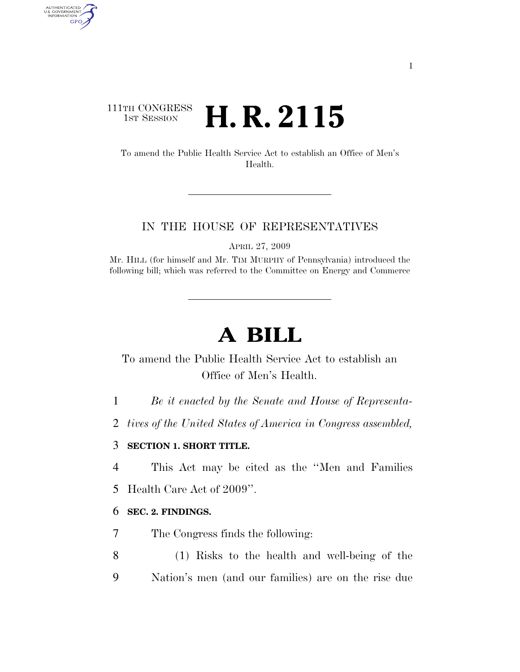## 111TH CONGRESS <sup>TH CONGRESS</sup> **H. R. 2115**

AUTHENTICATED<br>U.S. GOVERNMENT<br>INFORMATION GPO

> To amend the Public Health Service Act to establish an Office of Men's Health.

#### IN THE HOUSE OF REPRESENTATIVES

APRIL 27, 2009

Mr. HILL (for himself and Mr. TIM MURPHY of Pennsylvania) introduced the following bill; which was referred to the Committee on Energy and Commerce

# **A BILL**

To amend the Public Health Service Act to establish an Office of Men's Health.

1 *Be it enacted by the Senate and House of Representa-*

2 *tives of the United States of America in Congress assembled,* 

#### 3 **SECTION 1. SHORT TITLE.**

4 This Act may be cited as the ''Men and Families

5 Health Care Act of 2009''.

#### 6 **SEC. 2. FINDINGS.**

7 The Congress finds the following:

8 (1) Risks to the health and well-being of the 9 Nation's men (and our families) are on the rise due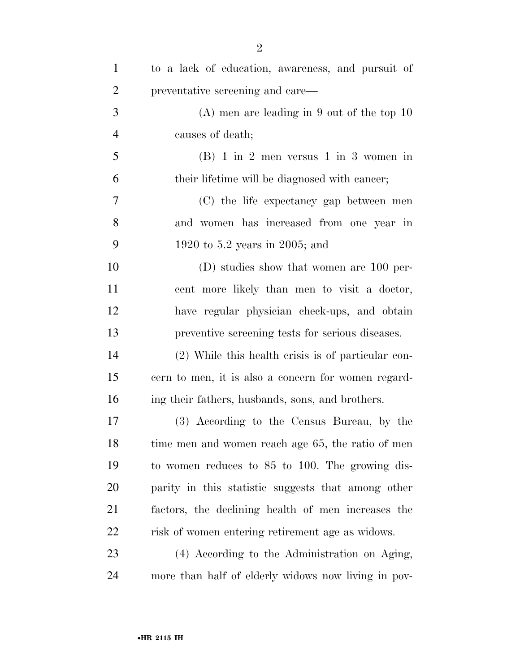| $\mathbf{1}$   | to a lack of education, awareness, and pursuit of   |
|----------------|-----------------------------------------------------|
| $\overline{c}$ | preventative screening and care—                    |
| 3              | $(A)$ men are leading in 9 out of the top 10        |
| $\overline{4}$ | causes of death;                                    |
| 5              | $(B)$ 1 in 2 men versus 1 in 3 women in             |
| 6              | their lifetime will be diagnosed with cancer;       |
| 7              | (C) the life expectancy gap between men             |
| 8              | and women has increased from one year in            |
| 9              | 1920 to 5.2 years in 2005; and                      |
| 10             | $(D)$ studies show that women are 100 per-          |
| 11             | cent more likely than men to visit a doctor,        |
| 12             | have regular physician check-ups, and obtain        |
| 13             | preventive screening tests for serious diseases.    |
| 14             | (2) While this health crisis is of particular con-  |
| 15             | cern to men, it is also a concern for women regard- |
| 16             | ing their fathers, husbands, sons, and brothers.    |
| 17             | (3) According to the Census Bureau, by the          |
| 18             | time men and women reach age 65, the ratio of men   |
| 19             | to women reduces to 85 to 100. The growing dis-     |
| 20             | parity in this statistic suggests that among other  |
| 21             | factors, the declining health of men increases the  |
| 22             | risk of women entering retirement age as widows.    |
| 23             | (4) According to the Administration on Aging,       |
| 24             | more than half of elderly widows now living in pov- |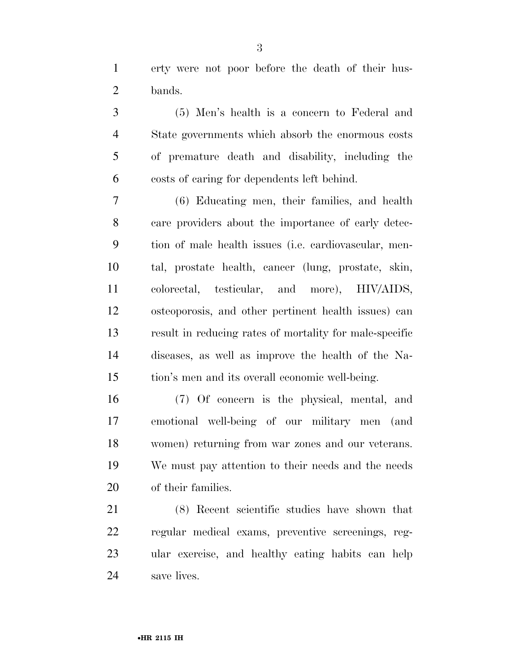erty were not poor before the death of their hus-bands.

 (5) Men's health is a concern to Federal and State governments which absorb the enormous costs of premature death and disability, including the costs of caring for dependents left behind.

 (6) Educating men, their families, and health care providers about the importance of early detec- tion of male health issues (i.e. cardiovascular, men- tal, prostate health, cancer (lung, prostate, skin, colorectal, testicular, and more), HIV/AIDS, osteoporosis, and other pertinent health issues) can result in reducing rates of mortality for male-specific diseases, as well as improve the health of the Na-tion's men and its overall economic well-being.

 (7) Of concern is the physical, mental, and emotional well-being of our military men (and women) returning from war zones and our veterans. We must pay attention to their needs and the needs of their families.

 (8) Recent scientific studies have shown that regular medical exams, preventive screenings, reg- ular exercise, and healthy eating habits can help save lives.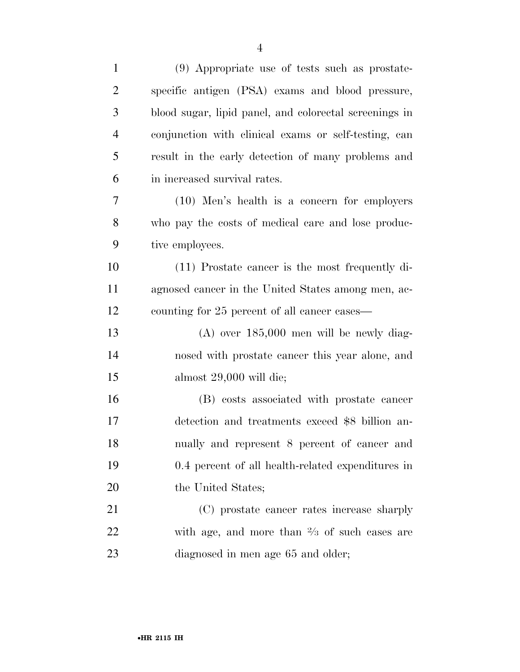| $\mathbf{1}$   | (9) Appropriate use of tests such as prostate-          |
|----------------|---------------------------------------------------------|
| $\overline{2}$ | specific antigen (PSA) exams and blood pressure,        |
| 3              | blood sugar, lipid panel, and colorectal screenings in  |
| $\overline{4}$ | conjunction with clinical exams or self-testing, can    |
| 5              | result in the early detection of many problems and      |
| 6              | in increased survival rates.                            |
| 7              | (10) Men's health is a concern for employers            |
| 8              | who pay the costs of medical care and lose produc-      |
| 9              | tive employees.                                         |
| 10             | $(11)$ Prostate cancer is the most frequently di-       |
| 11             | agnosed cancer in the United States among men, ac-      |
| 12             | counting for 25 percent of all cancer cases—            |
| 13             | $(A)$ over $185,000$ men will be newly diag-            |
| 14             | nosed with prostate cancer this year alone, and         |
| 15             | almost $29,000$ will die;                               |
| 16             | (B) costs associated with prostate cancer               |
| 17             | detection and treatments exceed \$8 billion an-         |
| 18             | nually and represent 8 percent of cancer and            |
| 19             | 0.4 percent of all health-related expenditures in       |
| 20             | the United States;                                      |
| 21             | (C) prostate cancer rates increase sharply              |
| 22             | with age, and more than $\frac{2}{3}$ of such cases are |
| 23             | diagnosed in men age 65 and older;                      |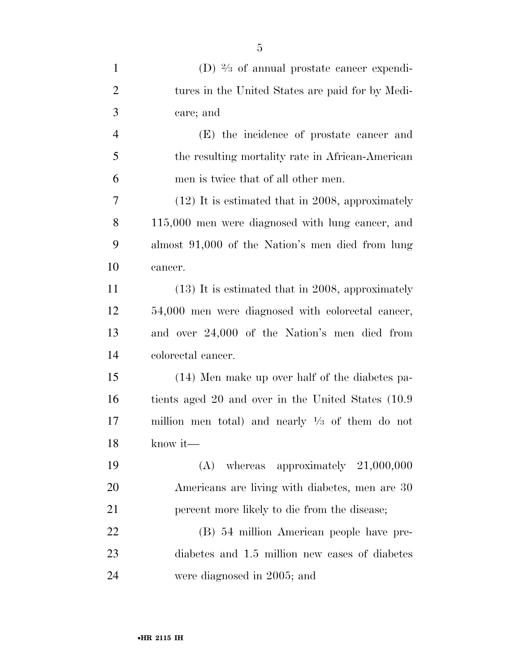| $\mathbf{1}$   | (D) $\frac{2}{3}$ of annual prostate cancer expendi-       |
|----------------|------------------------------------------------------------|
| $\overline{2}$ | tures in the United States are paid for by Medi-           |
| 3              | care; and                                                  |
| $\overline{4}$ | (E) the incidence of prostate cancer and                   |
| 5              | the resulting mortality rate in African-American           |
| 6              | men is twice that of all other men.                        |
| 7              | $(12)$ It is estimated that in 2008, approximately         |
| 8              | $115,000$ men were diagnosed with lung cancer, and         |
| 9              | almost 91,000 of the Nation's men died from lung           |
| 10             | cancer.                                                    |
| 11             | $(13)$ It is estimated that in 2008, approximately         |
| 12             | 54,000 men were diagnosed with colorectal cancer,          |
| 13             | and over 24,000 of the Nation's men died from              |
| 14             | colorectal cancer.                                         |
| 15             | (14) Men make up over half of the diabetes pa-             |
| 16             | tients aged 20 and over in the United States (10.9)        |
| 17             | million men total) and nearly $\frac{1}{3}$ of them do not |
| 18             | know it-                                                   |
| 19             | $(A)$ whereas approximately $21,000,000$                   |
| 20             | Americans are living with diabetes, men are 30             |
| 21             | percent more likely to die from the disease;               |
| 22             | (B) 54 million American people have pre-                   |
| 23             | diabetes and 1.5 million new cases of diabetes             |
| 24             | were diagnosed in 2005; and                                |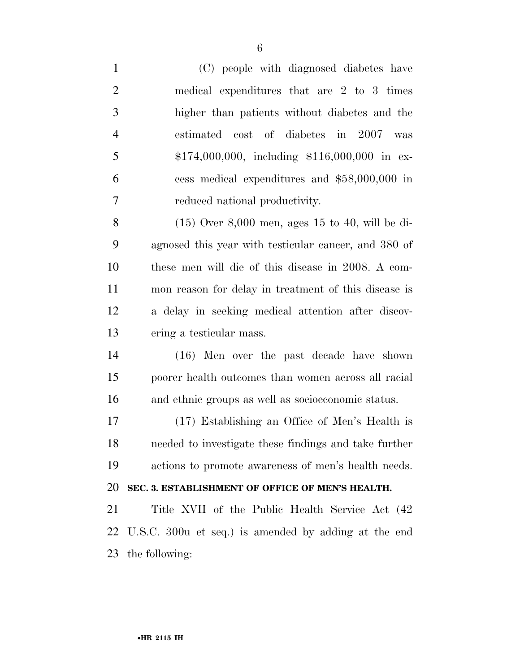(C) people with diagnosed diabetes have medical expenditures that are 2 to 3 times higher than patients without diabetes and the estimated cost of diabetes in 2007 was \$174,000,000, including \$116,000,000 in ex- cess medical expenditures and \$58,000,000 in reduced national productivity. (15) Over 8,000 men, ages 15 to 40, will be di- agnosed this year with testicular cancer, and 380 of these men will die of this disease in 2008. A com-

 mon reason for delay in treatment of this disease is a delay in seeking medical attention after discov-ering a testicular mass.

 (16) Men over the past decade have shown poorer health outcomes than women across all racial and ethnic groups as well as socioeconomic status.

 (17) Establishing an Office of Men's Health is needed to investigate these findings and take further actions to promote awareness of men's health needs.

### **SEC. 3. ESTABLISHMENT OF OFFICE OF MEN'S HEALTH.**

 Title XVII of the Public Health Service Act (42 U.S.C. 300u et seq.) is amended by adding at the end the following: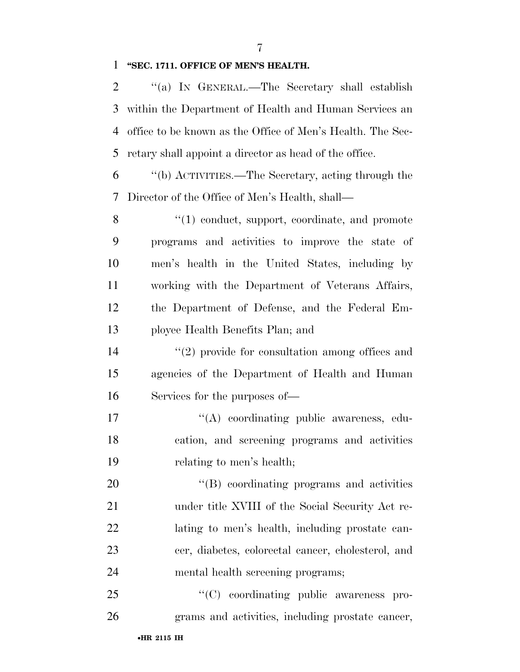**''SEC. 1711. OFFICE OF MEN'S HEALTH.** 

 ''(a) IN GENERAL.—The Secretary shall establish within the Department of Health and Human Services an office to be known as the Office of Men's Health. The Sec-retary shall appoint a director as head of the office.

 ''(b) ACTIVITIES.—The Secretary, acting through the Director of the Office of Men's Health, shall—

 $\langle (1) \rangle$  conduct, support, coordinate, and promote programs and activities to improve the state of men's health in the United States, including by working with the Department of Veterans Affairs, the Department of Defense, and the Federal Em-ployee Health Benefits Plan; and

14  $\qquad$  (2) provide for consultation among offices and agencies of the Department of Health and Human Services for the purposes of—

17  $\langle (A) \rangle$  coordinating public awareness, edu- cation, and screening programs and activities relating to men's health;

20 "(B) coordinating programs and activities under title XVIII of the Social Security Act re- lating to men's health, including prostate can- cer, diabetes, colorectal cancer, cholesterol, and mental health screening programs;

25  $C(C)$  coordinating public awareness pro-grams and activities, including prostate cancer,